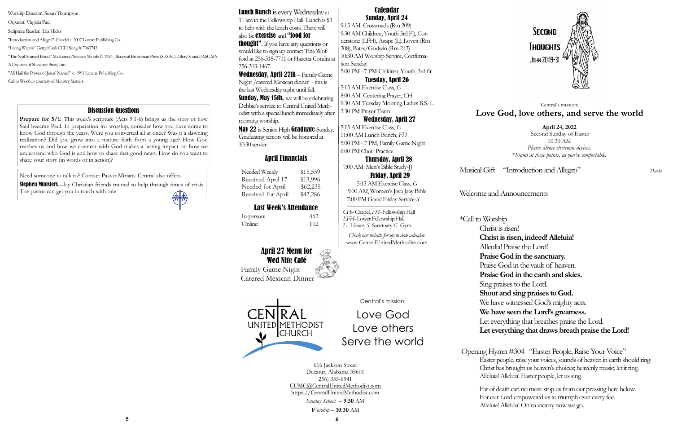Musical Gift "Introduction and Allegro" *Handel* 

Welcome and Announcements

\*Call to Worship Christ is risen! **Christ is risen, indeed! Alleluia!** Alleulia! Praise the Lord! **Praise God in the sanctuary.**  Praise God in the vault of heaven. **Praise God in the earth and skies.**  Sing praises to the Lord. **Shout and sing praises to God.** We have witnessed God's mighty acts. **We have seen the Lord's greatness.** Let everything that breathes praise the Lord. **Let everything that draws breath praise the Lord!** 

**Stephen Ministers**—lay Christian friends trained to help through times of crisis. The pastor can get you in touch with one.

Needed Weekly \$15,559 Received April 17 \$13,996 Needed for April \$62,235 Received for April \$42,286

> Opening Hymn #304 "Easter People, Raise Your Voice" Easter people, raise your voices, sounds of heaven in earth should ring. Christ has brought us heaven's choices; heavenly music, let it ring. Alleluia! Alleluia! Easter people, let us sing.

> > Far of death can no more stop us from our pressing here below. For our Lord empowered us to triumph over every foe. Alleluia! Alleluia! On to victory now we go.



Need someone to talk to? Contact Pastor Miriam. Central also offers

# April Financials

# Last Week's Attendance

In-person: 462 Online: 102

**April 24, 2022** Second Sunday of Easter 10:30 AM *Please silence electronic devices*. \**Stand at these points, as you're comfortable.*

Lunch Bunch is every Wednesday at 11 am in the Fellowship Hall. Lunch is \$3 to help with the lunch costs. There will also be exercise and "food for

**thought"**. If you have any questions or would like to sign up contact Tina Wofford at 256-318-7711 or Hazetta Condra at 256-303-1467.

## Central's mission: **Love God, love others, and serve the world**

Central's mission:

Love God

Love others

Serve the world

**Sunday, May 15th, we will be celebrating** Debbie's service to Central United Methodist with a special lunch immediately after morning worship.

> 616 Jackson Street Decatur, Alabama 35601 256) 353-6941 CUMC@CentralUnitedMethodist.com https://CentralUnitedMethodist.com *Sunday School* – **9**:**30** AM

May 22 is Senior High Graduate Sunday. Graduating seniors will be honored at 10:30 service.

*Worship* – **10**:**30** AM

### Calendar Sunday, April 24

9:15 AM Crossroads (Rm 209) 9:30 AM Children, Youth 3rd Fl), Cornerstone (LFH), Agape (L), Lovett (Rm 208), Bates/Godwin (Rm 213) 10:30 AM Worship Service, Confirmation Sunday

5:00 PM –7 PM-Children, Youth, 3rd flr Tuesday, April 26

5:15 AM Exercise Class, *G*  8:00 AM Centering Prayer, *CH* 9:30 AM Tuesday Morning Ladies B.S.-L 2:30 PM Prayer Team

## Wednesday, April 27

**Prepare for 5/1:** This week's scripture (Acts 9:1-6) brings us the story of how Saul became Paul. In preparation for worship, consider how you have come to know God through the years. Were you converted all at once? Was it a dawning realization? Did you grow into a mature faith from a young age? How God reaches us and how we connect with God makes a lasting impact on how we understand who God is and how to share that good news. How do you want to share your story (in words or in action)?

5:15 AM Exercise Class, *G*  11:00 AM Lunch Bunch, *FH* 5:00 PM - 7 PM, Family Game Night 6:00 PM Choir Practice

## Thursday, April 28

 7:00 AM Men's Bible Study-JJ Friday, April 29 5:15 AM Exercise Class, *G* 

9:00 AM, Women's Java Jaay Bible 7:00 PM Good Friday Service-*S*

 *——————————————— CH–* Chapel, *FH*- Fellowship Hall  *LFH*- Lower Fellowship Hall *L -* Library *S*- Sanctuary *G*- Gym

*Check our website for up-to-date calendar.* www.CentralUnitedMethodist.com

Wednesday, April 27th – Family Game Night /catered Mexican dinner - this is the last Wednesday night until fall.

Worship Director:: Susan Thompson

Organist: Virginia Paul

Scripture Reader: Lila Hicks

"Introduction and Allegro"- Handel c. 2007 Lorenz Publishing Co.

"Living Waters" Getty/Cash CCLI Song # 7063743

"The Nail-Scarred Hand" McKinney/Stevens Words © 1924 , Renewal Broadman Press (SESAC). Glory Sound (ASCAP) A Division of Shawnee Press, Inc.

"All Hail the Power of Jesus' Name!" c. 1991 Lorenz Publishing Co.

Call to Worship courtesy of Ministry Matters

# April 27 Menu for Wed Nite Café

Family Game Night Catered Mexican Dinner



#### Discussion Questions